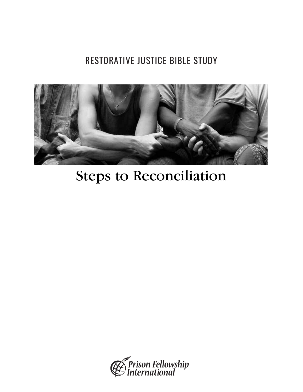# RESTORATIVE JUSTICE BIBLE STUDY



# Steps to Reconciliation

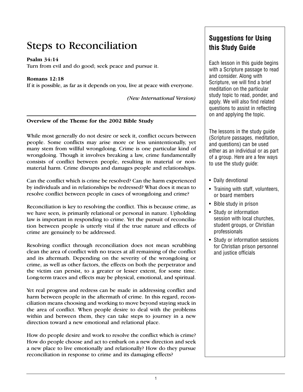## Steps to Reconciliation

#### **Psalm 34:14**

Turn from evil and do good; seek peace and pursue it.

#### **Romans 12:18**

If it is possible, as far as it depends on you, live at peace with everyone.

*(New International Version)*

#### **Overview of the Theme for the 2002 Bible Study**

While most generally do not desire or seek it, conflict occurs between people. Some conflicts may arise more or less unintentionally, yet many stem from willful wrongdoing. Crime is one particular kind of wrongdoing. Though it involves breaking a law, crime fundamentally consists of conflict between people, resulting in material or nonmaterial harm. Crime disrupts and damages people and relationships.

Can the conflict which is crime be resolved? Can the harm experienced by individuals and in relationships be redressed? What does it mean to resolve conflict between people in cases of wrongdoing and crime?

Reconciliation is key to resolving the conflict. This is because crime, as we have seen, is primarily relational or personal in nature. Upholding law is important in responding to crime. Yet the pursuit of reconciliation between people is utterly vital if the true nature and effects of crime are genuinely to be addressed.

Resolving conflict through reconciliation does not mean scrubbing clean the area of conflict with no traces at all remaining of the conflict and its aftermath. Depending on the severity of the wrongdoing or crime, as well as other factors, the effects on both the perpetrator and the victim can persist, to a greater or lesser extent, for some time. Long-term traces and effects may be physical, emotional, and spiritual.

Yet real progress and redress can be made in addressing conflict and harm between people in the aftermath of crime. In this regard, reconciliation means choosing and working to move beyond staying stuck in the area of conflict. When people desire to deal with the problems within and between them, they can take steps to journey in a new direction toward a new emotional and relational place.

How do people desire and work to resolve the conflict which is crime? How do people choose and act to embark on a new direction and seek a new place to live emotionally and relationally? How do they pursue reconciliation in response to crime and its damaging effects?

### **Suggestions for Using this Study Guide**

Each lesson in this guide begins with a Scripture passage to read and consider. Along with Scripture, we will find a brief meditation on the particular study topic to read, ponder, and apply. We will also find related questions to assist in reflecting on and applying the topic.

The lessons in the study guide (Scripture passages, meditation, and questions) can be used either as an individual or as part of a group. Here are a few ways to use the study guide:

- Daily devotional
- Training with staff, volunteers, or board members
- Bible study in prison
- Study or information session with local churches, student groups, or Christian professionals
- Study or information sessions for Christian prison personnel and justice officials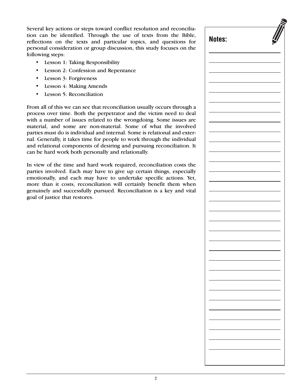Several key actions or steps toward conflict resolution and reconciliation can be identified. Through the use of texts from the Bible, reflections on the texts and particular topics, and questions for personal consideration or group discussion, this study focuses on the following steps:

- Lesson 1: Taking Responsibility
- Lesson 2: Confession and Repentance
- Lesson 3: Forgiveness
- Lesson 4: Making Amends
- Lesson 5: Reconciliation

From all of this we can see that reconciliation usually occurs through a process over time. Both the perpetrator and the victim need to deal with a number of issues related to the wrongdoing. Some issues are material, and some are non-material. Some of what the involved parties must do is individual and internal. Some is relational and external. Generally, it takes time for people to work through the individual and relational components of desiring and pursuing reconciliation. It can be hard work both personally and relationally.

In view of the time and hard work required, reconciliation costs the parties involved. Each may have to give up certain things, especially emotionally, and each may have to undertake specific actions. Yet, more than it costs, reconciliation will certainly benefit them when genuinely and successfully pursued. Reconciliation is a key and vital goal of justice that restores.

| Notes: |  |
|--------|--|
|        |  |
|        |  |
|        |  |
|        |  |
|        |  |
|        |  |
|        |  |
|        |  |
|        |  |
|        |  |
|        |  |
|        |  |
|        |  |
|        |  |
|        |  |
|        |  |
|        |  |
|        |  |
|        |  |
|        |  |
|        |  |
|        |  |
|        |  |
|        |  |
|        |  |
|        |  |
|        |  |
|        |  |
|        |  |
|        |  |
|        |  |
|        |  |
|        |  |
|        |  |
|        |  |
|        |  |
|        |  |
|        |  |
|        |  |
|        |  |
|        |  |
|        |  |
|        |  |
|        |  |
|        |  |
|        |  |
|        |  |
|        |  |
|        |  |
|        |  |
|        |  |
|        |  |
|        |  |
|        |  |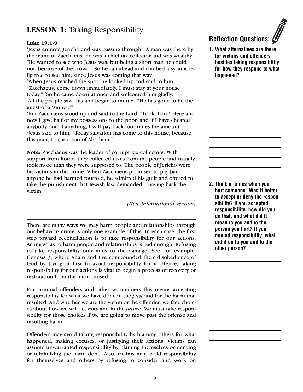### **LESSON 1:** Taking Responsibility

#### **Luke 19:1-9**

1 Jesus entered Jericho and was passing through. 2 A man was there by the name of Zacchaeus; he was a chief tax collector and was wealthy. <sup>3</sup>He wanted to see who Jesus was, but being a short man he could not, because of the crowd. 4 So he ran ahead and climbed a sycamorefig tree to see him, since Jesus was coming that way.

5 When Jesus reached the spot, he looked up and said to him, "Zacchaeus, come down immediately. I must stay at your house today." <sup>6</sup>So he came down at once and welcomed him gladly.<br><sup>7All</sup> the people saw this and began to mutter. "He has gone to All the people saw this and began to mutter, "He has gone to be the

guest of a 'sinner.'"

8 But Zacchaeus stood up and said to the Lord, "Look, Lord! Here and now I give half of my possessions to the poor, and if I have cheated anybody out of anything, I will pay back four times the amount." 9 Jesus said to him, "Today salvation has come to this house, because this man, too, is a son of Abraham."

**Note:** Zacchaeus was the leader of corrupt tax collectors. With support from Rome, they collected taxes from the people and usually took more than they were supposed to. The people of Jericho were his victims in this crime. When Zacchaeus promised to pay back anyone he had harmed fourfold, he admitted his guilt and offered to take the punishment that Jewish law demanded – paying back the victim.

*(New International Version)*

There are many ways we may harm people and relationships through our behavior; crime is only one example of this. In each case, the first step toward reconciliation is to take responsibility for our actions. Acting so as to harm people and relationships is bad enough. Refusing to take responsibility only adds to the damage. See, for example, Genesis 3, where Adam and Eve compounded their disobedience of God by trying at first to avoid responsibility for it. Hence, taking responsibility for our actions is vital to begin a process of recovery or restoration from the harm caused.

For criminal offenders and other wrongdoers this means accepting responsibility for what we have done in the *past* and for the harm that resulted. And whether we are the victim or the offender, we face choices about how we will act *now* and in the *future*. We must take responsibility for those choices if we are going to move past the offense and resulting harm.

Offenders may avoid taking responsibility by blaming others for what happened, making excuses, or justifying their actions. Victims can assume unwarranted responsibility by blaming themselves or denying or minimizing the harm done. Also, victims may avoid responsibility for themselves and others by refusing to consider and work on

### **Reflection Questions:**

**1. What alternatives are there for victims and offenders besides taking responsibility for how they respond to what happened?**

**2. Think of times when you hurt someone. Was it better to accept or deny the responsibility? If you accepted responsibility, how did you do that, and what did it mean to you and to the person you hurt? If you denied responsibility, what did it do to you and to the other person?**

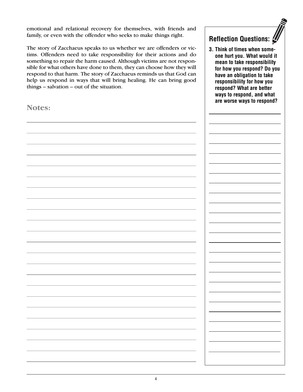emotional and relational recovery for themselves, with friends and family, or even with the offender who seeks to make things right.

The story of Zacchaeus speaks to us whether we are offenders or victims. Offenders need to take responsibility for their actions and do something to repair the harm caused. Although victims are not responsible for what others have done to them, they can choose how they will respond to that harm. The story of Zacchaeus reminds us that God can help us respond in ways that will bring healing. He can bring good things – salvation – out of the situation.

**Notes:**

**Reflection Questions:**

**3. Think of times when someone hurt you. What would it mean to take responsibility for how you respond? Do you have an obligation to take responsibility for how you respond? What are better ways to respond, and what are worse ways to respond?**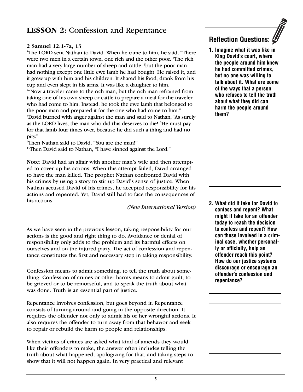### **LESSON 2:** Confession and Repentance

#### **2 Samuel 12:1-7a, 13**

1 The LORD sent Nathan to David. When he came to him, he said, "There were two men in a certain town, one rich and the other poor. <sup>2</sup>The rich man had a very large number of sheep and cattle, <sup>3</sup>but the poor man had nothing except one little ewe lamb he had bought. He raised it, and it grew up with him and his children. It shared his food, drank from his cup and even slept in his arms. It was like a daughter to him.

4 "Now a traveler came to the rich man, but the rich man refrained from taking one of his own sheep or cattle to prepare a meal for the traveler who had come to him. Instead, he took the ewe lamb that belonged to the poor man and prepared it for the one who had come to him." 5 David burned with anger against the man and said to Nathan, "As surely as the LORD lives, the man who did this deserves to die! <sup>6</sup>He must pay for that lamb four times over, because he did such a thing and had no pity."

7 Then Nathan said to David, "You are the man!"

<sup>13</sup>Then David said to Nathan, "I have sinned against the Lord."

**Note:** David had an affair with another man's wife and then attempted to cover up his actions. When this attempt failed, David arranged to have the man killed. The prophet Nathan confronted David with his crimes by using a story to stir up David's sense of justice. When Nathan accused David of his crimes, he accepted responsibility for his actions and repented. Yet, David still had to face the consequences of his actions.

*(New International Version)*

As we have seen in the previous lesson, taking responsibility for our actions is the good and right thing to do. Avoidance or denial of responsibility only adds to the problem and its harmful effects on ourselves and on the injured party. The act of confession and repentance constitutes the first and necessary step in taking responsibility.

Confession means to admit something, to tell the truth about something. Confession of crimes or other harms means to admit guilt, to be grieved or to be remorseful, and to speak the truth about what was done. Truth is an essential part of justice.

Repentance involves confession, but goes beyond it. Repentance consists of turning around and going in the opposite direction. It requires the offender not only to admit his or her wrongful actions. It also requires the offender to turn away from that behavior and seek to repair or rebuild the harm to people and relationships.

When victims of crimes are asked what kind of amends they would like their offenders to make, the answer often includes telling the truth about what happened, apologizing for that, and taking steps to show that it will not happen again. In very practical and relevant

### **Reflection Questions:**

**1. Imagine what it was like in King David's court, where the people around him knew he had committed crimes, but no one was willing to talk about it. What are some of the ways that a person who refuses to tell the truth about what they did can harm the people around them?**

**2. What did it take for David to confess and repent? What might it take for an offender today to reach the decision to confess and repent? How can those involved in a criminal case, whether personally or officially, help an offender reach this point? How do our justice systems discourage or encourage an offender's confession and repentance?**

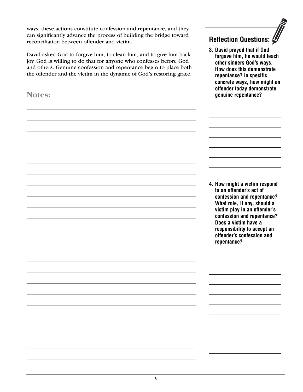ways, these actions constitute confession and repentance, and they can significantly advance the process of building the bridge toward reconciliation between offender and victim.

David asked God to forgive him, to clean him, and to give him back joy. God is willing to do that for anyone who confesses before God and others. Genuine confession and repentance begin to place both the offender and the victim in the dynamic of God's restoring grace.

**Notes:**

| <b>Reflection Questions:</b> |  |
|------------------------------|--|
|                              |  |

**3. David prayed that if God forgave him, he would teach other sinners God's ways. How does this demonstrate repentance? In specific, concrete ways, how might an offender today demonstrate genuine repentance?**

**4. How might a victim respond to an offender's act of confession and repentance? What role, if any, should a victim play in an offender's confession and repentance? Does a victim have a responsibility to accept an offender's confession and repentance?**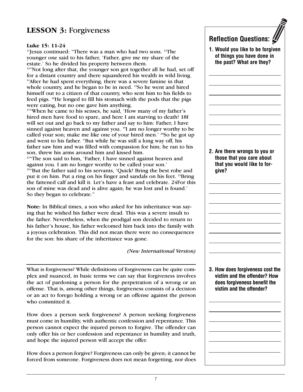### **LESSON 3:** Forgiveness

#### **Luke 15: 11-24**

<sup>11</sup>Jesus continued: "There was a man who had two sons. <sup>12</sup>The younger one said to his father, 'Father, give me my share of the estate.' So he divided his property between them.

<sup>13"</sup>Not long after that, the younger son got together all he had, set off for a distant country and there squandered his wealth in wild living. <sup>14</sup> After he had spent everything, there was a severe famine in that whole country, and he began to be in need. <sup>15</sup>So he went and hired himself out to a citizen of that country, who sent him to his fields to feed pigs. <sup>16</sup>He longed to fill his stomach with the pods that the pigs were eating, but no one gave him anything.

17"When he came to his senses, he said, 'How many of my father's hired men have food to spare, and here I am starving to death! 18I will set out and go back to my father and say to him: Father, I have sinned against heaven and against you. <sup>19</sup>I am no longer worthy to be called your son; make me like one of your hired men.' <sup>20</sup>So he got up and went to his father. "But while he was still a long way off, his father saw him and was filled with compassion for him; he ran to his son, threw his arms around him and kissed him.

21"The son said to him, 'Father, I have sinned against heaven and against you. I am no longer worthy to be called your son.'

<sup>22"</sup>But the father said to his servants, 'Quick! Bring the best robe and put it on him. Put a ring on his finger and sandals on his feet. 23Bring the fattened calf and kill it. Let's have a feast and celebrate. 24For this son of mine was dead and is alive again; he was lost and is found.' So they began to celebrate."

**Note:** In Biblical times, a son who asked for his inheritance was saying that he wished his father were dead. This was a severe insult to the father. Nevertheless, when the prodigal son decided to return to his father's house, his father welcomed him back into the family with a joyous celebration. This did not mean there were no consequences for the son: his share of the inheritance was gone.

*(New International Version)*

What is forgiveness? While definitions of forgiveness can be quite complex and nuanced, in basic terms we can say that forgiveness involves the act of pardoning a person for the perpetration of a wrong or an offense. That is, among other things, forgiveness consists of a decision or an act to forego holding a wrong or an offense against the person who committed it.

How does a person seek forgiveness? A person seeking forgiveness must come in humility, with authentic confession and repentance. This person cannot expect the injured person to forgive. The offender can only offer his or her confession and repentance in humility and truth, and hope the injured person will accept the offer.

How does a person forgive? Forgiveness can only be given; it cannot be forced from someone. Forgiveness does not mean forgetting, nor does

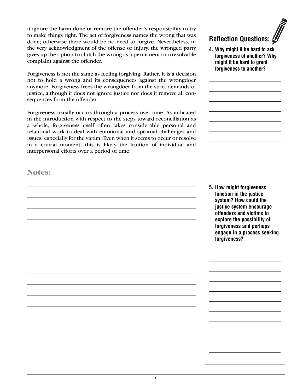it ignore the harm done or remove the offender's responsibility to try to make things right. The act of forgiveness names the wrong that was done; otherwise there would be no need to forgive. Nevertheless, in the very acknowledgment of the offense or injury, the wronged party gives up the option to clutch the wrong as a permanent or irresolvable complaint against the offender.

Forgiveness is not the same as feeling forgiving. Rather, it is a decision not to hold a wrong and its consequences against the wrongdoer anymore. Forgiveness frees the wrongdoer from the strict demands of justice, although it does not ignore justice nor does it remove all consequences from the offender.

Forgiveness usually occurs through a process over time. As indicated in the introduction with respect to the steps toward reconciliation as a whole, forgiveness itself often takes considerable personal and relational work to deal with emotional and spiritual challenges and issues, especially for the victim. Even when it seems to occur or resolve in a crucial moment, this is likely the fruition of individual and interpersonal efforts over a period of time.

**Notes:**

**might it be hard to grant forgiveness to another? 5. How might forgiveness function in the justice system? How could the justice system encourage offenders and victims to explore the possibility of forgiveness and perhaps engage in a process seeking forgiveness?**

**Reflection Questions:**

**4. Why might it be hard to ask forgiveness of another? Why**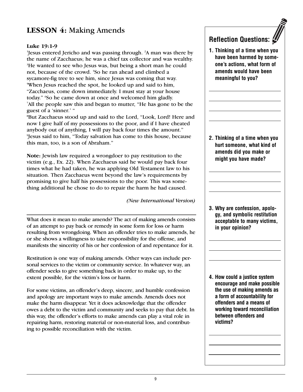### **LESSON 4:** Making Amends

#### **Luke 19:1-9**

1 Jesus entered Jericho and was passing through. 2 A man was there by the name of Zacchaeus; he was a chief tax collector and was wealthy. <sup>3</sup>He wanted to see who Jesus was, but being a short man he could not, because of the crowd. 4 So he ran ahead and climbed a sycamore-fig tree to see him, since Jesus was coming that way. 5 When Jesus reached the spot, he looked up and said to him, "Zacchaeus, come down immediately. I must stay at your house today." <sup>6</sup>So he came down at once and welcomed him gladly.<br><sup>7All</sup> the people saw this and began to mutter. "He has gone to All the people saw this and began to mutter, "He has gone to be the guest of a 'sinner.' "

8 But Zacchaeus stood up and said to the Lord, "Look, Lord! Here and now I give half of my possessions to the poor, and if I have cheated anybody out of anything, I will pay back four times the amount." 9 Jesus said to him, "Today salvation has come to this house, because this man, too, is a son of Abraham."

**Note:** Jewish law required a wrongdoer to pay restitution to the victim (e.g., Ex. 22). When Zacchaeus said he would pay back four times what he had taken, he was applying Old Testament law to his situation. Then Zacchaeus went beyond the law's requirements by promising to give half his possessions to the poor. This was something additional he chose to do to repair the harm he had caused.

*(New International Version)*

What does it mean to make amends? The act of making amends consists of an attempt to pay back or remedy in some form for loss or harm resulting from wrongdoing. When an offender tries to make amends, he or she shows a willingness to take responsibility for the offense, and manifests the sincerity of his or her confession of and repentance for it.

Restitution is one way of making amends. Other ways can include personal services to the victim or community service. In whatever way, an offender seeks to give something back in order to make up, to the extent possible, for the victim's loss or harm.

For some victims, an offender's deep, sincere, and humble confession and apology are important ways to make amends. Amends does not make the harm disappear. Yet it does acknowledge that the offender owes a debt to the victim and community and seeks to pay that debt. In this way, the offender's efforts to make amends can play a vital role in repairing harm, restoring material or non-material loss, and contributing to possible reconciliation with the victim.

#### **Reflection Questions:**

**1. Thinking of a time when you have been harmed by someone's actions, what form of amends would have been meaningful to you?**

**2. Thinking of a time when you hurt someone, what kind of amends did you make or might you have made?**

**3. Why are confession, apology, and symbolic restitution acceptable to many victims, in your opinion?**

**4. How could a justice system encourage and make possible the use of making amends as a form of accountability for offenders and a means of working toward reconciliation between offenders and victims?**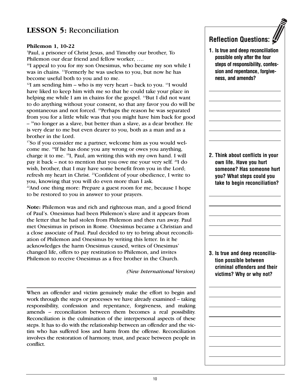### **LESSON 5:** Reconciliation

#### **Philemon 1, 10-22**

1 Paul, a prisoner of Christ Jesus, and Timothy our brother, To Philemon our dear friend and fellow worker, ….

<sup>10</sup>I appeal to you for my son Onesimus, who became my son while I was in chains. 11 Formerly he was useless to you, but now he has become useful both to you and to me.

<sup>12</sup>I am sending him – who is my very heart – back to you. <sup>13</sup>I would have liked to keep him with me so that he could take your place in helping me while I am in chains for the gospel. <sup>14</sup>But I did not want to do anything without your consent, so that any favor you do will be spontaneous and not forced. <sup>15</sup>Perhaps the reason he was separated from you for a little while was that you might have him back for good – <sup>16</sup> no longer as a slave, but better than a slave, as a dear brother. He is very dear to me but even dearer to you, both as a man and as a brother in the Lord.

<sup>17</sup>So if you consider me a partner, welcome him as you would welcome me. 18 If he has done you any wrong or owes you anything, charge it to me. 19 I, Paul, am writing this with my own hand. I will pay it back – not to mention that you owe me your very self. 20I do wish, brother, that I may have some benefit from you in the Lord; refresh my heart in Christ. 21Confident of your obedience, I write to you, knowing that you will do even more than I ask.

<sup>22</sup>And one thing more: Prepare a guest room for me, because I hope to be restored to you in answer to your prayers.

**Note:** Philemon was and rich and righteous man, and a good friend of Paul's. Onesimus had been Philemon's slave and it appears from the letter that he had stolen from Philemon and then run away. Paul met Onesimus in prison in Rome. Onesimus became a Christian and a close associate of Paul. Paul decided to try to bring about reconciliation of Philemon and Onesimus by writing this letter. In it he acknowledges the harm Onesimus caused, writes of Onesimus' changed life, offers to pay restitution to Philemon, and invites Philemon to receive Onesimus as a free brother in the Church.

*(New International Version)*

When an offender and victim genuinely make the effort to begin and work through the steps or processes we have already examined – taking responsibility, confession and repentance, forgiveness, and making amends – reconciliation between them becomes a real possibility. Reconciliation is the culmination of the interpersonal aspects of these steps. It has to do with the relationship between an offender and the victim who has suffered loss and harm from the offense. Reconciliation involves the restoration of harmony, trust, and peace between people in conflict.

### **Reflection Questions:**

**1. Is true and deep reconciliation possible only after the four steps of responsibility, confession and repentance, forgiveness, and amends?**

**2. Think about conflicts in your own life. Have you hurt someone? Has someone hurt you? What steps could you take to begin reconciliation?** 

**3. Is true and deep reconciliation possible between criminal offenders and their victims? Why or why not?**